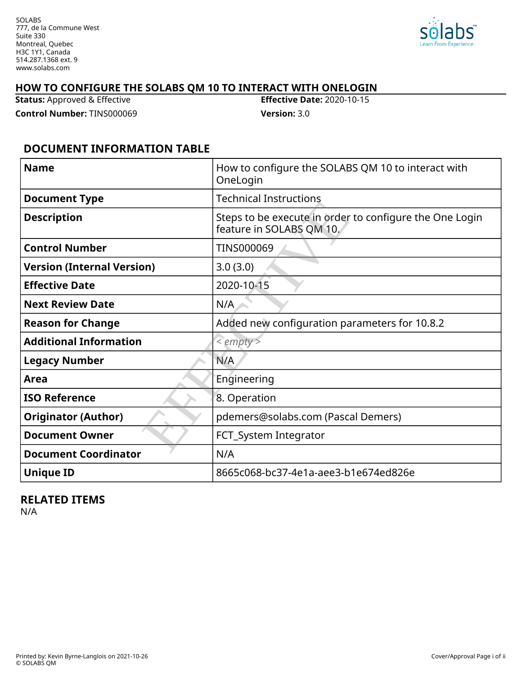

## **HOW TO CONFIGURE THE SOLABS QM 10 TO INTERACT WITH ONELOGIN**

**Status:** Approved & Effective **Effective Date:** 2020-10-15

**Control Number:** TINS000069 **Version:** 3.0

## **DOCUMENT INFORMATION TABLE**

| <b>Name</b>                       | How to configure the SOLABS QM 10 to interact with<br>OneLogin                      |
|-----------------------------------|-------------------------------------------------------------------------------------|
| <b>Document Type</b>              | <b>Technical Instructions</b>                                                       |
| <b>Description</b>                | Steps to be execute in order to configure the One Login<br>feature in SOLABS QM 10. |
| <b>Control Number</b>             | <b>TINS000069</b>                                                                   |
| <b>Version (Internal Version)</b> | 3.0(3.0)                                                                            |
| <b>Effective Date</b>             | 2020-10-15                                                                          |
| <b>Next Review Date</b>           | N/A                                                                                 |
| <b>Reason for Change</b>          | Added new configuration parameters for 10.8.2                                       |
| <b>Additional Information</b>     | $\le$ empty $>$                                                                     |
| <b>Legacy Number</b>              | N/A                                                                                 |
| Area                              | Engineering                                                                         |
| <b>ISO Reference</b>              | 8. Operation                                                                        |
| <b>Originator (Author)</b>        | pdemers@solabs.com (Pascal Demers)                                                  |
| <b>Document Owner</b>             | FCT_System Integrator                                                               |
| <b>Document Coordinator</b>       | N/A                                                                                 |
| <b>Unique ID</b>                  | 8665c068-bc37-4e1a-aee3-b1e674ed826e                                                |

#### **RELATED ITEMS**

N/A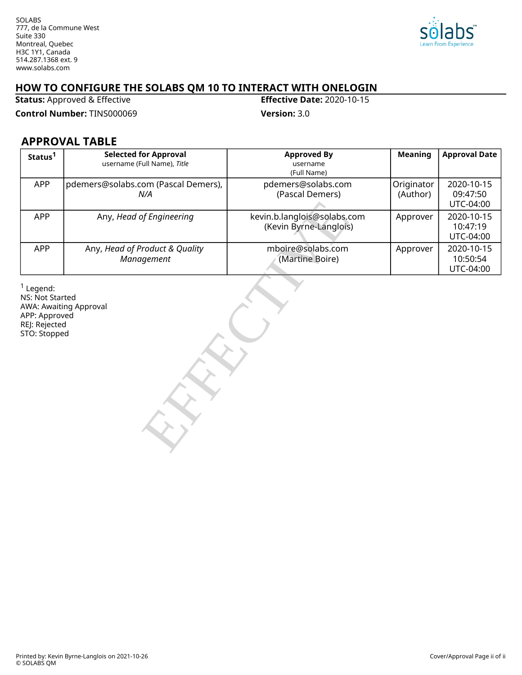

## **HOW TO CONFIGURE THE SOLABS QM 10 TO INTERACT WITH ONELOGIN**<br>Status: Approved & Effective

**Status: Approved & Effective** 

**Control Number:** TINS000069 **Version:** 3.0

## **APPROVAL TABLE**

| Status <sup>1</sup>                                                              | <b>Selected for Approval</b><br>username (Full Name), Title | <b>Approved By</b><br>username<br>(Full Name)         | <b>Meaning</b>         | <b>Approval Date</b>                |  |
|----------------------------------------------------------------------------------|-------------------------------------------------------------|-------------------------------------------------------|------------------------|-------------------------------------|--|
| APP                                                                              | pdemers@solabs.com (Pascal Demers),<br>N/A                  | pdemers@solabs.com<br>(Pascal Demers)                 | Originator<br>(Author) | 2020-10-15<br>09:47:50<br>UTC-04:00 |  |
| <b>APP</b>                                                                       | Any, Head of Engineering                                    | kevin.b.langlois@solabs.com<br>(Kevin Byrne-Langlois) | Approver               | 2020-10-15<br>10:47:19<br>UTC-04:00 |  |
| <b>APP</b>                                                                       | Any, Head of Product & Quality<br>Management                | mboire@solabs.com<br>(Martine Boire)                  | Approver               | 2020-10-15<br>10:50:54<br>UTC-04:00 |  |
| $1$ Legend:<br>NS: Not Started<br>APP: Approved<br>REJ: Rejected<br>STO: Stopped | <b>AWA: Awaiting Approval</b>                               |                                                       |                        |                                     |  |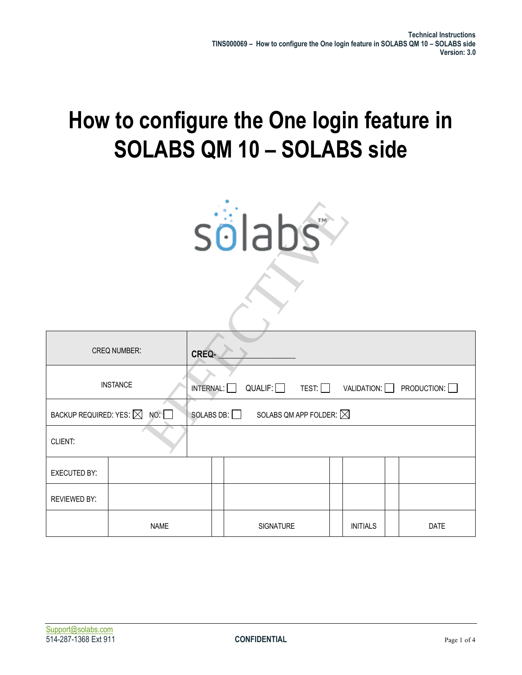# **How to configure the One login feature in SOLABS QM 10 – SOLABS side**

| sölabs                            |                 |                   |  |                                   |                            |               |
|-----------------------------------|-----------------|-------------------|--|-----------------------------------|----------------------------|---------------|
|                                   |                 |                   |  |                                   |                            |               |
|                                   | CREQ NUMBER:    | CREQ-             |  |                                   |                            |               |
|                                   | <b>INSTANCE</b> | INTERNAL: [       |  | QUALIF: $\Box$                    | $TEST:$ VALIDATION: $\Box$ | PRODUCTION: O |
| BACKUP REQUIRED: YES: $\boxtimes$ | <b>NO:</b>      | SOLABS DB: $\Box$ |  | SOLABS QM APP FOLDER: $\boxtimes$ |                            |               |
| CLIENT:                           |                 |                   |  |                                   |                            |               |
| <b>EXECUTED BY:</b>               |                 |                   |  |                                   |                            |               |
| <b>REVIEWED BY:</b>               |                 |                   |  |                                   |                            |               |
| <b>NAME</b>                       |                 |                   |  | <b>SIGNATURE</b>                  | <b>INITIALS</b>            | <b>DATE</b>   |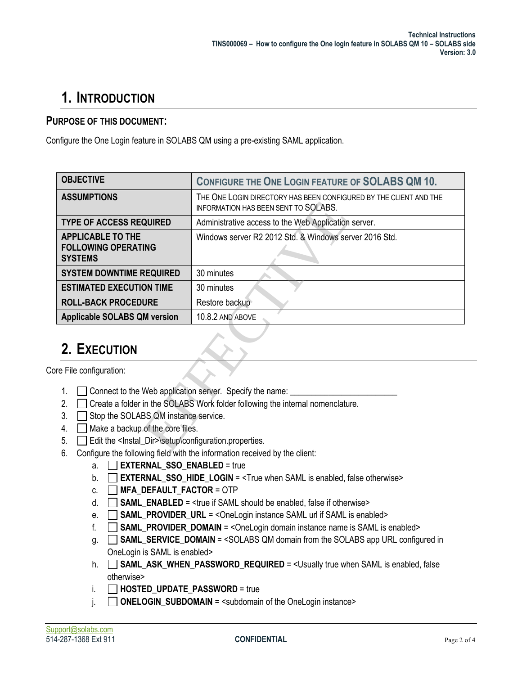## **1. INTRODUCTION**

#### **PURPOSE OF THIS DOCUMENT:**

Configure the One Login feature in SOLABS QM using a pre-existing SAML application.

| <b>OBJECTIVE</b>                                                                                                                                                                                                                               | <b>CONFIGURE THE ONE LOGIN FEATURE OF SOLABS QM 10.</b>                                                          |  |  |  |  |
|------------------------------------------------------------------------------------------------------------------------------------------------------------------------------------------------------------------------------------------------|------------------------------------------------------------------------------------------------------------------|--|--|--|--|
| <b>ASSUMPTIONS</b>                                                                                                                                                                                                                             | THE ONE LOGIN DIRECTORY HAS BEEN CONFIGURED BY THE CLIENT AND THE<br><b>INFORMATION HAS BEEN SENT TO SOLABS.</b> |  |  |  |  |
| <b>TYPE OF ACCESS REQUIRED</b>                                                                                                                                                                                                                 | Administrative access to the Web Application server.                                                             |  |  |  |  |
| <b>APPLICABLE TO THE</b><br><b>FOLLOWING OPERATING</b><br><b>SYSTEMS</b>                                                                                                                                                                       | Windows server R2 2012 Std. & Windows server 2016 Std.                                                           |  |  |  |  |
| <b>SYSTEM DOWNTIME REQUIRED</b>                                                                                                                                                                                                                | 30 minutes                                                                                                       |  |  |  |  |
| <b>ESTIMATED EXECUTION TIME</b><br>30 minutes                                                                                                                                                                                                  |                                                                                                                  |  |  |  |  |
| <b>ROLL-BACK PROCEDURE</b><br>Restore backup                                                                                                                                                                                                   |                                                                                                                  |  |  |  |  |
| <b>Applicable SOLABS QM version</b><br>10.8.2 AND ABOVE                                                                                                                                                                                        |                                                                                                                  |  |  |  |  |
| 2. EXECUTION                                                                                                                                                                                                                                   |                                                                                                                  |  |  |  |  |
| re File configuration:                                                                                                                                                                                                                         |                                                                                                                  |  |  |  |  |
| Connect to the Web application server. Specify the name:<br>1.<br>Create a folder in the SOLABS Work folder following the internal nomenclature.<br>2.<br>Stop the SOLABS QM instance service.<br>3.<br>Make a backup of the core files.<br>4. |                                                                                                                  |  |  |  |  |
| Edit the <lnstal_dir>\setup\configuration.properties.<br/>5.</lnstal_dir>                                                                                                                                                                      |                                                                                                                  |  |  |  |  |
| ĥ                                                                                                                                                                                                                                              | Configure the following field with the information received by the client:                                       |  |  |  |  |

## **2. EXECUTION**

Core File configuration:

- 1.  $\Box$  Connect to the Web application server. Specify the name:
- 2.  $\Box$  Create a folder in the SOLABS Work folder following the internal nomenclature.
- $3. \Box$  Stop the SOLABS QM instance service.
- 4. Make a backup of the core files.
- 5. **Edit the <Instal\_Dir>\setup\configuration.properties.**
- 6. Configure the following field with the information received by the client:
	- a. **EXTERNAL SSO ENABLED** = true
	- b. **□ EXTERNAL\_SSO\_HIDE\_LOGIN** = <True when SAML is enabled, false otherwise>
	- $c.$  **MFA DEFAULT FACTOR** = OTP
	- d.  $\Box$  **SAML ENABLED** = <true if SAML should be enabled, false if otherwise>
	- e. **SAML PROVIDER URL** = <OneLogin instance SAML url if SAML is enabled>
	- f.  $\Box$  **SAML PROVIDER DOMAIN** = < OneLogin domain instance name is SAML is enabled>
	- g. **SAML\_SERVICE\_DOMAIN** = <SOLABS QM domain from the SOLABS app URL configured in OneLogin is SAML is enabled>
	- h. **SAML\_ASK\_WHEN\_PASSWORD\_REQUIRED** = <Usually true when SAML is enabled, false otherwise>
	- i. **HOSTED UPDATE PASSWORD** = true
	- $\overline{\phantom{a}}$  **ONELOGIN SUBDOMAIN** = <subdomain of the OneLogin instance>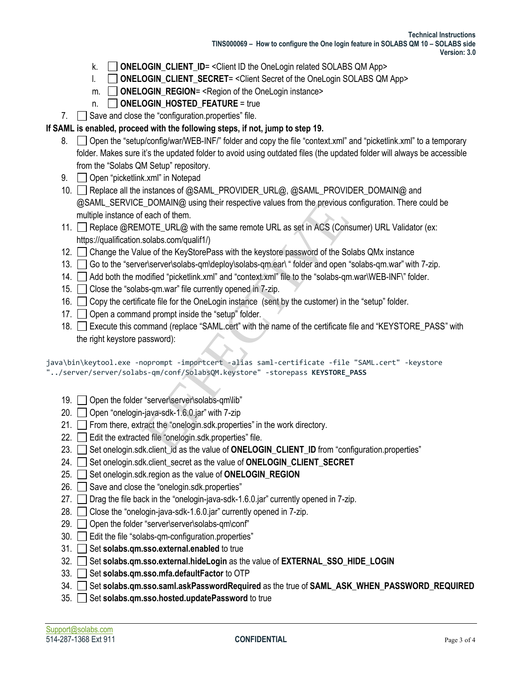- k. **ONELOGIN CLIENT ID** = < Client ID the OneLogin related SOLABS QM App>
- l. **ONELOGIN\_CLIENT\_SECRET**= <Client Secret of the OneLogin SOLABS QM App>
- m.  **ONELOGIN** REGION= <Region of the OneLogin instance>
- n. **ONELOGIN HOSTED FEATURE** = true
- 7. Save and close the "configuration.properties" file.

#### **If SAML is enabled, proceed with the following steps, if not, jump to step 19.**

- 8.  $\Box$  Open the "setup/config/war/WEB-INF/" folder and copy the file "context.xml" and "picketlink.xml" to a temporary folder. Makes sure it's the updated folder to avoid using outdated files (the updated folder will always be accessible from the "Solabs QM Setup" repository.
- 9. **Open** "picketlink.xml" in Notepad
- 10. Replace all the instances of @SAML\_PROVIDER\_URL@, @SAML\_PROVIDER\_DOMAIN@ and @SAML\_SERVICE\_DOMAIN@ using their respective values from the previous configuration. There could be multiple instance of each of them.
- 11. Replace @REMOTE\_URL@ with the same remote URL as set in ACS (Consumer) URL Validator (ex: https://qualification.solabs.com/qualif1/) E\_DOMAIN@ using their respective values from the previous of<br>each of them.<br>MOTE\_URL@ with the same remote URL as set in ACS (Cons<br>solabs.com/qualif1/)<br>lue of the KeyStorePass with the keystore password of the So<br>er\server\
- 12. Change the Value of the KeyStorePass with the keystore password of the Solabs QMx instance
- 13. Go to the "server\server\solabs-qm\deploy\solabs-qm.ear\ " folder and open "solabs-qm.war" with 7-zip.
- 14. Add both the modified "picketlink.xml" and "context.xml" file to the "solabs-qm.war\WEB-INF\" folder.
- 15. Close the "solabs-qm.war" file currently opened in 7-zip.
- 16. Copy the certificate file for the OneLogin instance (sent by the customer) in the "setup" folder.
- 17. **Open a command prompt inside the "setup" folder.**
- 18. Execute this command (replace "SAML.cert" with the name of the certificate file and "KEYSTORE\_PASS" with the right keystore password):

```
java\bin\keytool.exe -noprompt -importcert -alias saml-certificate -file "SAML.cert" -keystore 
"../server/server/solabs-qm/conf/SolabsQM.keystore" -storepass KEYSTORE_PASS
```
- 19. Open the folder "server\server\solabs-qm\lib"
- 20. Open "onelogin-java-sdk-1.6.0.jar" with 7-zip
- 21. From there, extract the "onelogin.sdk.properties" in the work directory.
- 22. **Edit the extracted file "onelogin.sdk.properties" file.**
- 23. Set onelogin.sdk.client\_id as the value of **ONELOGIN\_CLIENT\_ID** from "configuration.properties"
- 24. Set onelogin.sdk.client\_secret as the value of **ONELOGIN\_CLIENT\_SECRET**
- 25. Set onelogin.sdk.region as the value of **ONELOGIN** REGION
- 26.  $\Box$  Save and close the "onelogin.sdk.properties"
- 27.  $\Box$  Drag the file back in the "onelogin-java-sdk-1.6.0.jar" currently opened in 7-zip.
- 28. Close the "onelogin-java-sdk-1.6.0.jar" currently opened in 7-zip.
- 29. Open the folder "server\server\solabs-gm\conf"
- 30. Edit the file "solabs-qm-configuration.properties"
- 31. Set **solabs.qm.sso.external.enabled** to true
- 32. Set **solabs.qm.sso.external.hideLogin** as the value of **EXTERNAL\_SSO\_HIDE\_LOGIN**
- 33. Set **solabs.gm.sso.mfa.defaultFactor** to OTP
- 34. Set **solabs.qm.sso.saml.askPasswordRequired** as the true of **SAML\_ASK\_WHEN\_PASSWORD\_REQUIRED**
- 35. Set **solabs.qm.sso.hosted.updatePassword** to true